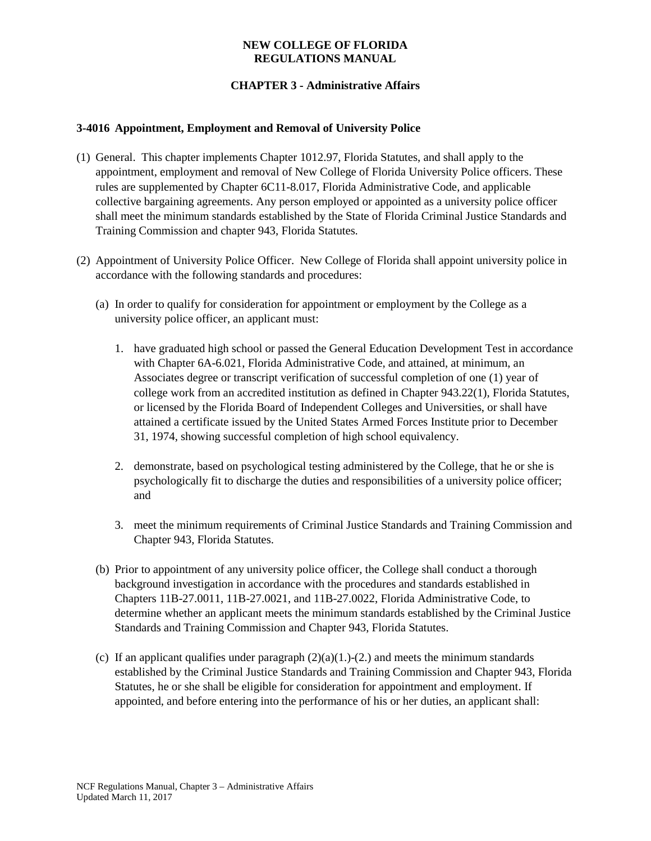### **NEW COLLEGE OF FLORIDA REGULATIONS MANUAL**

# **CHAPTER 3 - Administrative Affairs**

#### **3-4016 Appointment, Employment and Removal of University Police**

- (1) General. This chapter implements Chapter 1012.97, Florida Statutes, and shall apply to the appointment, employment and removal of New College of Florida University Police officers. These rules are supplemented by Chapter 6C11-8.017, Florida Administrative Code, and applicable collective bargaining agreements. Any person employed or appointed as a university police officer shall meet the minimum standards established by the State of Florida Criminal Justice Standards and Training Commission and chapter 943, Florida Statutes.
- (2) Appointment of University Police Officer. New College of Florida shall appoint university police in accordance with the following standards and procedures:
	- (a) In order to qualify for consideration for appointment or employment by the College as a university police officer, an applicant must:
		- 1. have graduated high school or passed the General Education Development Test in accordance with Chapter 6A-6.021, Florida Administrative Code, and attained, at minimum, an Associates degree or transcript verification of successful completion of one (1) year of college work from an accredited institution as defined in Chapter 943.22(1), Florida Statutes, or licensed by the Florida Board of Independent Colleges and Universities, or shall have attained a certificate issued by the United States Armed Forces Institute prior to December 31, 1974, showing successful completion of high school equivalency.
		- 2. demonstrate, based on psychological testing administered by the College, that he or she is psychologically fit to discharge the duties and responsibilities of a university police officer; and
		- 3. meet the minimum requirements of Criminal Justice Standards and Training Commission and Chapter 943, Florida Statutes.
	- (b) Prior to appointment of any university police officer, the College shall conduct a thorough background investigation in accordance with the procedures and standards established in Chapters 11B-27.0011, 11B-27.0021, and 11B-27.0022, Florida Administrative Code, to determine whether an applicant meets the minimum standards established by the Criminal Justice Standards and Training Commission and Chapter 943, Florida Statutes.
	- (c) If an applicant qualifies under paragraph  $(2)(a)(1)$ -(2.) and meets the minimum standards established by the Criminal Justice Standards and Training Commission and Chapter 943, Florida Statutes, he or she shall be eligible for consideration for appointment and employment. If appointed, and before entering into the performance of his or her duties, an applicant shall: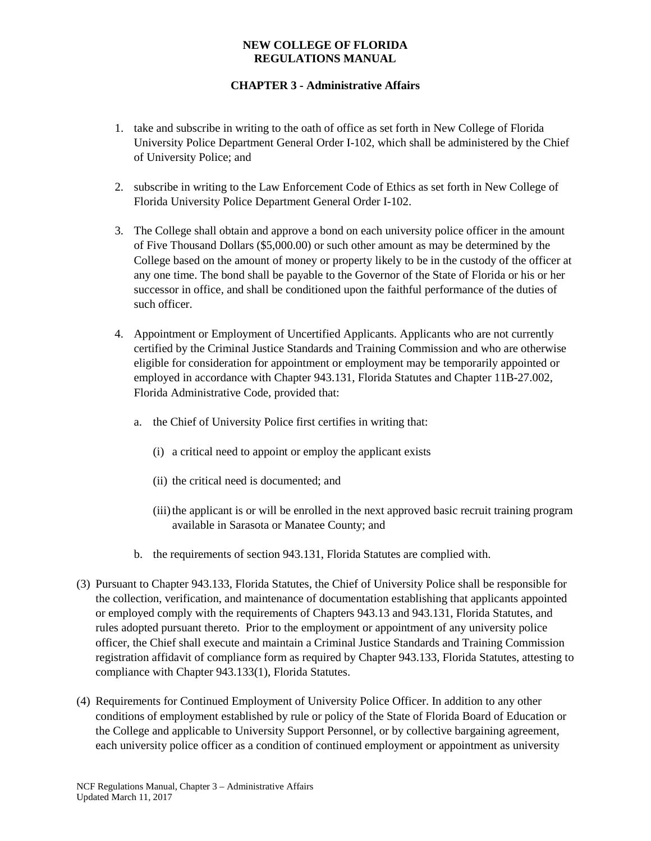### **NEW COLLEGE OF FLORIDA REGULATIONS MANUAL**

# **CHAPTER 3 - Administrative Affairs**

- 1. take and subscribe in writing to the oath of office as set forth in New College of Florida University Police Department General Order I-102, which shall be administered by the Chief of University Police; and
- 2. subscribe in writing to the Law Enforcement Code of Ethics as set forth in New College of Florida University Police Department General Order I-102.
- 3. The College shall obtain and approve a bond on each university police officer in the amount of Five Thousand Dollars (\$5,000.00) or such other amount as may be determined by the College based on the amount of money or property likely to be in the custody of the officer at any one time. The bond shall be payable to the Governor of the State of Florida or his or her successor in office, and shall be conditioned upon the faithful performance of the duties of such officer.
- 4. Appointment or Employment of Uncertified Applicants. Applicants who are not currently certified by the Criminal Justice Standards and Training Commission and who are otherwise eligible for consideration for appointment or employment may be temporarily appointed or employed in accordance with Chapter 943.131, Florida Statutes and Chapter 11B-27.002, Florida Administrative Code, provided that:
	- a. the Chief of University Police first certifies in writing that:
		- (i) a critical need to appoint or employ the applicant exists
		- (ii) the critical need is documented; and
		- (iii) the applicant is or will be enrolled in the next approved basic recruit training program available in Sarasota or Manatee County; and
	- b. the requirements of section 943.131, Florida Statutes are complied with.
- (3) Pursuant to Chapter 943.133, Florida Statutes, the Chief of University Police shall be responsible for the collection, verification, and maintenance of documentation establishing that applicants appointed or employed comply with the requirements of Chapters 943.13 and 943.131, Florida Statutes, and rules adopted pursuant thereto. Prior to the employment or appointment of any university police officer, the Chief shall execute and maintain a Criminal Justice Standards and Training Commission registration affidavit of compliance form as required by Chapter 943.133, Florida Statutes, attesting to compliance with Chapter 943.133(1), Florida Statutes.
- (4) Requirements for Continued Employment of University Police Officer. In addition to any other conditions of employment established by rule or policy of the State of Florida Board of Education or the College and applicable to University Support Personnel, or by collective bargaining agreement, each university police officer as a condition of continued employment or appointment as university